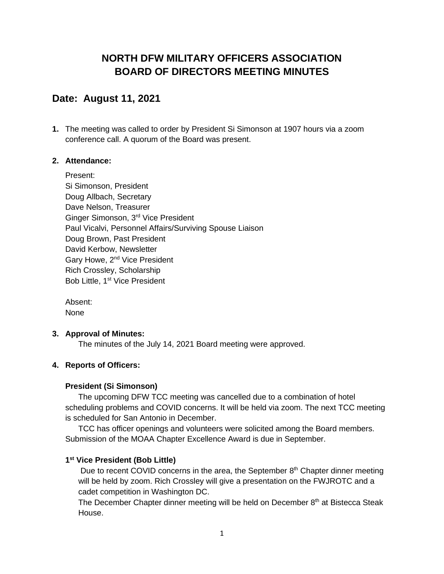# **NORTH DFW MILITARY OFFICERS ASSOCIATION BOARD OF DIRECTORS MEETING MINUTES**

## **Date: August 11, 2021**

**1.** The meeting was called to order by President Si Simonson at 1907 hours via a zoom conference call. A quorum of the Board was present.

## **2. Attendance:**

Present: Si Simonson, President Doug Allbach, Secretary Dave Nelson, Treasurer Ginger Simonson, 3rd Vice President Paul Vicalvi, Personnel Affairs/Surviving Spouse Liaison Doug Brown, Past President David Kerbow, Newsletter Gary Howe, 2<sup>nd</sup> Vice President Rich Crossley, Scholarship Bob Little, 1<sup>st</sup> Vice President

Absent: **None** 

## **3. Approval of Minutes:**

The minutes of the July 14, 2021 Board meeting were approved.

## **4. Reports of Officers:**

## **President (Si Simonson)**

The upcoming DFW TCC meeting was cancelled due to a combination of hotel scheduling problems and COVID concerns. It will be held via zoom. The next TCC meeting is scheduled for San Antonio in December.

TCC has officer openings and volunteers were solicited among the Board members. Submission of the MOAA Chapter Excellence Award is due in September.

## **1 st Vice President (Bob Little)**

Due to recent COVID concerns in the area, the September 8<sup>th</sup> Chapter dinner meeting will be held by zoom. Rich Crossley will give a presentation on the FWJROTC and a cadet competition in Washington DC.

The December Chapter dinner meeting will be held on December  $8<sup>th</sup>$  at Bistecca Steak House.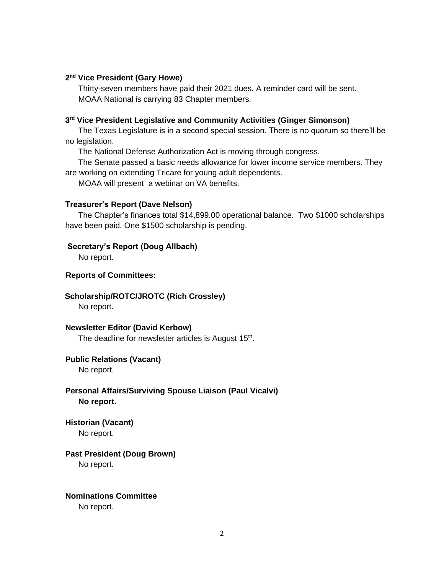#### **2 nd Vice President (Gary Howe)**

Thirty-seven members have paid their 2021 dues. A reminder card will be sent. MOAA National is carrying 83 Chapter members.

#### **3 rd Vice President Legislative and Community Activities (Ginger Simonson)**

The Texas Legislature is in a second special session. There is no quorum so there'll be no legislation.

The National Defense Authorization Act is moving through congress.

The Senate passed a basic needs allowance for lower income service members. They are working on extending Tricare for young adult dependents.

MOAA will present a webinar on VA benefits.

#### **Treasurer's Report (Dave Nelson)**

The Chapter's finances total \$14,899.00 operational balance. Two \$1000 scholarships have been paid. One \$1500 scholarship is pending.

#### **Secretary's Report (Doug Allbach)**

No report.

#### **Reports of Committees:**

#### **Scholarship/ROTC/JROTC (Rich Crossley)**

No report.

#### **Newsletter Editor (David Kerbow)**

The deadline for newsletter articles is August  $15<sup>th</sup>$ .

#### **Public Relations (Vacant)**

No report.

### **Personal Affairs/Surviving Spouse Liaison (Paul Vicalvi) No report.**

**Historian (Vacant)**

No report.

### **Past President (Doug Brown)**

No report.

#### **Nominations Committee**

No report.